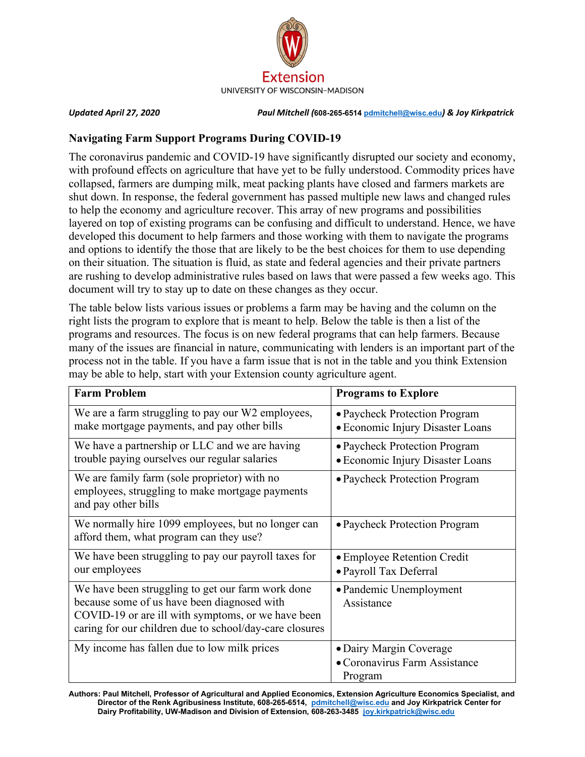

*Updated April 27, 2020 Paul Mitchell (***608-265-6514 [pdmitchell@wisc.edu](mailto:pdmitchell@wisc.edu)***) & Joy Kirkpatrick*

#### **Navigating Farm Support Programs During COVID-19**

The coronavirus pandemic and COVID-19 have significantly disrupted our society and economy, with profound effects on agriculture that have yet to be fully understood. Commodity prices have collapsed, farmers are dumping milk, meat packing plants have closed and farmers markets are shut down. In response, the federal government has passed multiple new laws and changed rules to help the economy and agriculture recover. This array of new programs and possibilities layered on top of existing programs can be confusing and difficult to understand. Hence, we have developed this document to help farmers and those working with them to navigate the programs and options to identify the those that are likely to be the best choices for them to use depending on their situation. The situation is fluid, as state and federal agencies and their private partners are rushing to develop administrative rules based on laws that were passed a few weeks ago. This document will try to stay up to date on these changes as they occur.

The table below lists various issues or problems a farm may be having and the column on the right lists the program to explore that is meant to help. Below the table is then a list of the programs and resources. The focus is on new federal programs that can help farmers. Because many of the issues are financial in nature, communicating with lenders is an important part of the process not in the table. If you have a farm issue that is not in the table and you think Extension may be able to help, start with your Extension county agriculture agent.

| <b>Farm Problem</b>                                                                                                                                                                                               | <b>Programs to Explore</b>                                          |
|-------------------------------------------------------------------------------------------------------------------------------------------------------------------------------------------------------------------|---------------------------------------------------------------------|
| We are a farm struggling to pay our W2 employees,<br>make mortgage payments, and pay other bills                                                                                                                  | • Paycheck Protection Program<br>• Economic Injury Disaster Loans   |
| We have a partnership or LLC and we are having<br>trouble paying ourselves our regular salaries                                                                                                                   | • Paycheck Protection Program<br>• Economic Injury Disaster Loans   |
| We are family farm (sole proprietor) with no<br>employees, struggling to make mortgage payments<br>and pay other bills                                                                                            | • Paycheck Protection Program                                       |
| We normally hire 1099 employees, but no longer can<br>afford them, what program can they use?                                                                                                                     | • Paycheck Protection Program                                       |
| We have been struggling to pay our payroll taxes for<br>our employees                                                                                                                                             | • Employee Retention Credit<br>· Payroll Tax Deferral               |
| We have been struggling to get our farm work done<br>because some of us have been diagnosed with<br>COVID-19 or are ill with symptoms, or we have been<br>caring for our children due to school/day-care closures | • Pandemic Unemployment<br>Assistance                               |
| My income has fallen due to low milk prices                                                                                                                                                                       | • Dairy Margin Coverage<br>• Coronavirus Farm Assistance<br>Program |

**Authors: Paul Mitchell, Professor of Agricultural and Applied Economics, Extension Agriculture Economics Specialist, and Director of the Renk Agribusiness Institute, 608-265-6514, [pdmitchell@wisc.edu](mailto:pdmitchell@wisc.edu) and Joy Kirkpatrick Center for Dairy Profitability, UW-Madison and Division of Extension, 608-263-3485 [joy.kirkpatrick@wisc.edu](mailto:joy.kirkpatrick@wisc.edu)**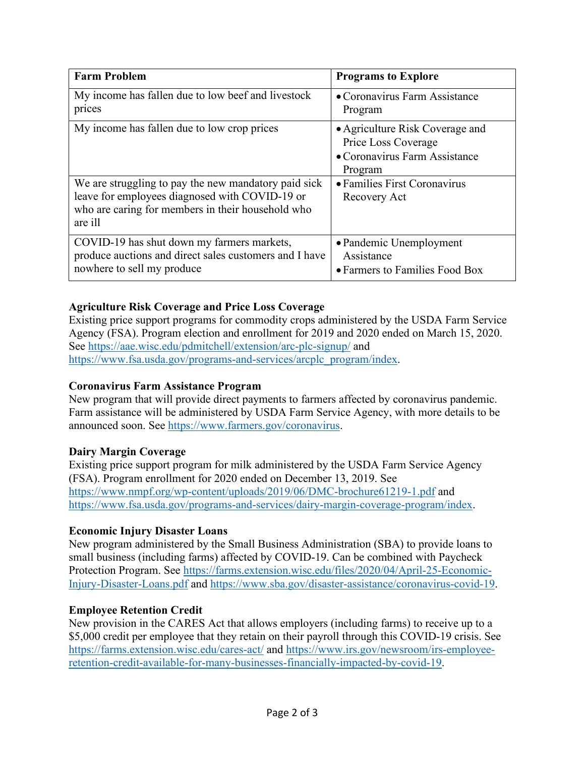| <b>Farm Problem</b>                                                                                                                                                    | <b>Programs to Explore</b>                                                                         |
|------------------------------------------------------------------------------------------------------------------------------------------------------------------------|----------------------------------------------------------------------------------------------------|
| My income has fallen due to low beef and livestock<br>prices                                                                                                           | • Coronavirus Farm Assistance<br>Program                                                           |
| My income has fallen due to low crop prices                                                                                                                            | • Agriculture Risk Coverage and<br>Price Loss Coverage<br>• Coronavirus Farm Assistance<br>Program |
| We are struggling to pay the new mandatory paid sick<br>leave for employees diagnosed with COVID-19 or<br>who are caring for members in their household who<br>are ill | • Families First Coronavirus<br>Recovery Act                                                       |
| COVID-19 has shut down my farmers markets,<br>produce auctions and direct sales customers and I have<br>nowhere to sell my produce                                     | • Pandemic Unemployment<br>Assistance<br>• Farmers to Families Food Box                            |

# <span id="page-1-4"></span>**Agriculture Risk Coverage and Price Loss Coverage**

Existing price support programs for commodity crops administered by the USDA Farm Service Agency (FSA). Program election and enrollment for 2019 and 2020 ended on March 15, 2020. See<https://aae.wisc.edu/pdmitchell/extension/arc-plc-signup/> and [https://www.fsa.usda.gov/programs-and-services/arcplc\\_program/index.](https://www.fsa.usda.gov/programs-and-services/arcplc_program/index)

# <span id="page-1-3"></span>**Coronavirus Farm Assistance Program**

New program that will provide direct payments to farmers affected by coronavirus pandemic. Farm assistance will be administered by USDA Farm Service Agency, with more details to be announced soon. See [https://www.farmers.gov/coronavirus.](https://www.farmers.gov/coronavirus)

# <span id="page-1-2"></span>**Dairy Margin Coverage**

Existing price support program for milk administered by the USDA Farm Service Agency (FSA). Program enrollment for 2020 ended on December 13, 2019. See <https://www.nmpf.org/wp-content/uploads/2019/06/DMC-brochure61219-1.pdf> and [https://www.fsa.usda.gov/programs-and-services/dairy-margin-coverage-program/index.](https://www.fsa.usda.gov/programs-and-services/dairy-margin-coverage-program/index)

# <span id="page-1-0"></span>**Economic Injury Disaster Loans**

New program administered by the Small Business Administration (SBA) to provide loans to small business (including farms) affected by COVID-19. Can be combined with Paycheck Protection Program. See [https://farms.extension.wisc.edu/files/2020/04/April-25-Economic-](https://farms.extension.wisc.edu/files/2020/04/April-25-Economic-Injury-Disaster-Loans.pdf)[Injury-Disaster-Loans.pdf](https://farms.extension.wisc.edu/files/2020/04/April-25-Economic-Injury-Disaster-Loans.pdf) and [https://www.sba.gov/disaster-assistance/coronavirus-covid-19.](https://www.sba.gov/disaster-assistance/coronavirus-covid-19)

#### <span id="page-1-1"></span>**Employee Retention Credit**

New provision in the CARES Act that allows employers (including farms) to receive up to a \$5,000 credit per employee that they retain on their payroll through this COVID-19 crisis. See <https://farms.extension.wisc.edu/cares-act/> and [https://www.irs.gov/newsroom/irs-employee](https://www.irs.gov/newsroom/irs-employee-retention-credit-available-for-many-businesses-financially-impacted-by-covid-19)[retention-credit-available-for-many-businesses-financially-impacted-by-covid-19.](https://www.irs.gov/newsroom/irs-employee-retention-credit-available-for-many-businesses-financially-impacted-by-covid-19)